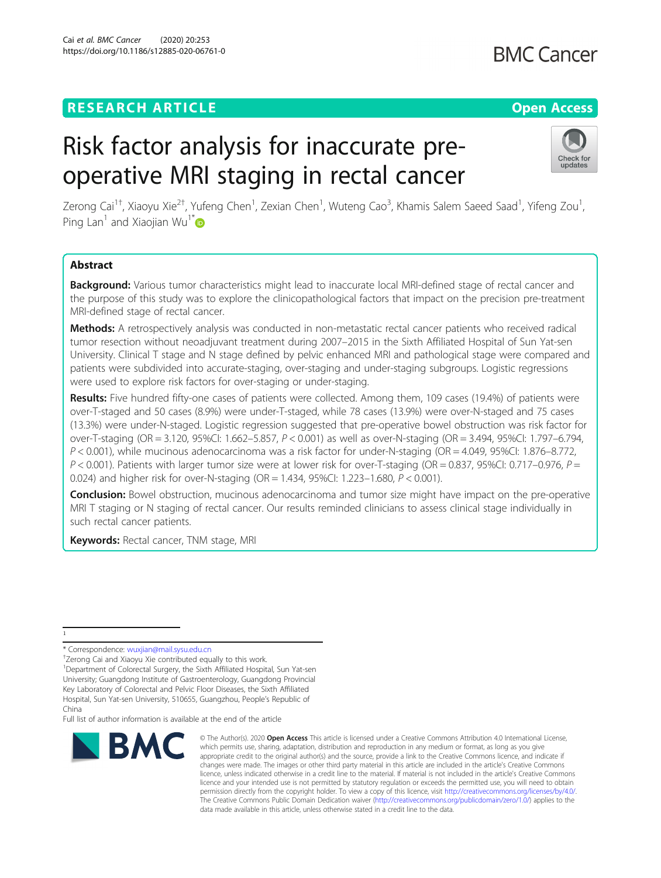# **RESEARCH ARTICLE Example 2014 12:30 The Contract of Contract ACCESS**

**BMC Cancer** 

# Risk factor analysis for inaccurate preoperative MRI staging in rectal cancer



Zerong Cai<sup>1†</sup>, Xiaoyu Xie<sup>2†</sup>, Yufeng Chen<sup>1</sup>, Zexian Chen<sup>1</sup>, Wuteng Cao<sup>3</sup>, Khamis Salem Saeed Saad<sup>1</sup>, Yifeng Zou<sup>1</sup> , Ping Lan<sup>1</sup> and Xiaojian Wu<sup>1\*</sup>

# Abstract

Background: Various tumor characteristics might lead to inaccurate local MRI-defined stage of rectal cancer and the purpose of this study was to explore the clinicopathological factors that impact on the precision pre-treatment MRI-defined stage of rectal cancer.

Methods: A retrospectively analysis was conducted in non-metastatic rectal cancer patients who received radical tumor resection without neoadjuvant treatment during 2007–2015 in the Sixth Affiliated Hospital of Sun Yat-sen University. Clinical T stage and N stage defined by pelvic enhanced MRI and pathological stage were compared and patients were subdivided into accurate-staging, over-staging and under-staging subgroups. Logistic regressions were used to explore risk factors for over-staging or under-staging.

Results: Five hundred fifty-one cases of patients were collected. Among them, 109 cases (19.4%) of patients were over-T-staged and 50 cases (8.9%) were under-T-staged, while 78 cases (13.9%) were over-N-staged and 75 cases (13.3%) were under-N-staged. Logistic regression suggested that pre-operative bowel obstruction was risk factor for over-T-staging (OR = 3.120, 95%CI: 1.662–5.857, P < 0.001) as well as over-N-staging (OR = 3.494, 95%CI: 1.797–6.794,  $P < 0.001$ ), while mucinous adenocarcinoma was a risk factor for under-N-staging (OR = 4.049, 95%CI: 1.876–8.772,  $P < 0.001$ ). Patients with larger tumor size were at lower risk for over-T-staging (OR = 0.837, 95%CI: 0.717–0.976,  $P =$ 0.024) and higher risk for over-N-staging (OR = 1.434, 95%CI: 1.223–1.680, P < 0.001).

**Conclusion:** Bowel obstruction, mucinous adenocarcinoma and tumor size might have impact on the pre-operative MRI T staging or N staging of rectal cancer. Our results reminded clinicians to assess clinical stage individually in such rectal cancer patients.

**Keywords:** Rectal cancer, TNM stage, MRI

1

<sup>1</sup>Department of Colorectal Surgery, the Sixth Affiliated Hospital, Sun Yat-sen University; Guangdong Institute of Gastroenterology, Guangdong Provincial Key Laboratory of Colorectal and Pelvic Floor Diseases, the Sixth Affiliated Hospital, Sun Yat-sen University, 510655, Guangzhou, People's Republic of China

Full list of author information is available at the end of the article



<sup>©</sup> The Author(s), 2020 **Open Access** This article is licensed under a Creative Commons Attribution 4.0 International License, which permits use, sharing, adaptation, distribution and reproduction in any medium or format, as long as you give appropriate credit to the original author(s) and the source, provide a link to the Creative Commons licence, and indicate if changes were made. The images or other third party material in this article are included in the article's Creative Commons licence, unless indicated otherwise in a credit line to the material. If material is not included in the article's Creative Commons licence and your intended use is not permitted by statutory regulation or exceeds the permitted use, you will need to obtain permission directly from the copyright holder. To view a copy of this licence, visit [http://creativecommons.org/licenses/by/4.0/.](http://creativecommons.org/licenses/by/4.0/) The Creative Commons Public Domain Dedication waiver [\(http://creativecommons.org/publicdomain/zero/1.0/](http://creativecommons.org/publicdomain/zero/1.0/)) applies to the data made available in this article, unless otherwise stated in a credit line to the data.

<sup>\*</sup> Correspondence: [wuxjian@mail.sysu.edu.cn](mailto:wuxjian@mail.sysu.edu.cn) †

Zerong Cai and Xiaoyu Xie contributed equally to this work.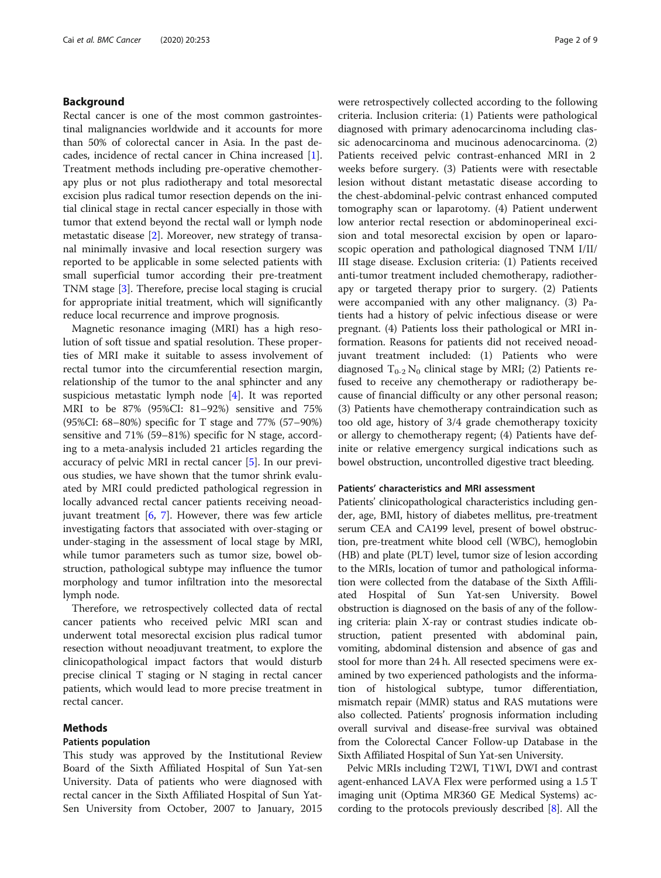## Background

Rectal cancer is one of the most common gastrointestinal malignancies worldwide and it accounts for more than 50% of colorectal cancer in Asia. In the past decades, incidence of rectal cancer in China increased [\[1](#page-8-0)]. Treatment methods including pre-operative chemotherapy plus or not plus radiotherapy and total mesorectal excision plus radical tumor resection depends on the initial clinical stage in rectal cancer especially in those with tumor that extend beyond the rectal wall or lymph node metastatic disease [[2\]](#page-8-0). Moreover, new strategy of transanal minimally invasive and local resection surgery was reported to be applicable in some selected patients with small superficial tumor according their pre-treatment TNM stage [[3](#page-8-0)]. Therefore, precise local staging is crucial for appropriate initial treatment, which will significantly reduce local recurrence and improve prognosis.

Magnetic resonance imaging (MRI) has a high resolution of soft tissue and spatial resolution. These properties of MRI make it suitable to assess involvement of rectal tumor into the circumferential resection margin, relationship of the tumor to the anal sphincter and any suspicious metastatic lymph node [\[4\]](#page-8-0). It was reported MRI to be 87% (95%CI: 81–92%) sensitive and 75% (95%CI: 68–80%) specific for T stage and 77% (57–90%) sensitive and 71% (59–81%) specific for N stage, according to a meta-analysis included 21 articles regarding the accuracy of pelvic MRI in rectal cancer [\[5](#page-8-0)]. In our previous studies, we have shown that the tumor shrink evaluated by MRI could predicted pathological regression in locally advanced rectal cancer patients receiving neoadjuvant treatment  $[6, 7]$  $[6, 7]$  $[6, 7]$  $[6, 7]$ . However, there was few article investigating factors that associated with over-staging or under-staging in the assessment of local stage by MRI, while tumor parameters such as tumor size, bowel obstruction, pathological subtype may influence the tumor morphology and tumor infiltration into the mesorectal lymph node.

Therefore, we retrospectively collected data of rectal cancer patients who received pelvic MRI scan and underwent total mesorectal excision plus radical tumor resection without neoadjuvant treatment, to explore the clinicopathological impact factors that would disturb precise clinical T staging or N staging in rectal cancer patients, which would lead to more precise treatment in rectal cancer.

### Methods

#### Patients population

This study was approved by the Institutional Review Board of the Sixth Affiliated Hospital of Sun Yat-sen University. Data of patients who were diagnosed with rectal cancer in the Sixth Affiliated Hospital of Sun Yat-Sen University from October, 2007 to January, 2015 were retrospectively collected according to the following criteria. Inclusion criteria: (1) Patients were pathological diagnosed with primary adenocarcinoma including classic adenocarcinoma and mucinous adenocarcinoma. (2) Patients received pelvic contrast-enhanced MRI in 2 weeks before surgery. (3) Patients were with resectable lesion without distant metastatic disease according to the chest-abdominal-pelvic contrast enhanced computed tomography scan or laparotomy. (4) Patient underwent low anterior rectal resection or abdominoperineal excision and total mesorectal excision by open or laparoscopic operation and pathological diagnosed TNM I/II/ III stage disease. Exclusion criteria: (1) Patients received anti-tumor treatment included chemotherapy, radiotherapy or targeted therapy prior to surgery. (2) Patients were accompanied with any other malignancy. (3) Patients had a history of pelvic infectious disease or were pregnant. (4) Patients loss their pathological or MRI information. Reasons for patients did not received neoadjuvant treatment included: (1) Patients who were diagnosed  $T_{0-2} N_0$  clinical stage by MRI; (2) Patients refused to receive any chemotherapy or radiotherapy because of financial difficulty or any other personal reason; (3) Patients have chemotherapy contraindication such as too old age, history of 3/4 grade chemotherapy toxicity or allergy to chemotherapy regent; (4) Patients have definite or relative emergency surgical indications such as bowel obstruction, uncontrolled digestive tract bleeding.

#### Patients' characteristics and MRI assessment

Patients' clinicopathological characteristics including gender, age, BMI, history of diabetes mellitus, pre-treatment serum CEA and CA199 level, present of bowel obstruction, pre-treatment white blood cell (WBC), hemoglobin (HB) and plate (PLT) level, tumor size of lesion according to the MRIs, location of tumor and pathological information were collected from the database of the Sixth Affiliated Hospital of Sun Yat-sen University. Bowel obstruction is diagnosed on the basis of any of the following criteria: plain X-ray or contrast studies indicate obstruction, patient presented with abdominal pain, vomiting, abdominal distension and absence of gas and stool for more than 24 h. All resected specimens were examined by two experienced pathologists and the information of histological subtype, tumor differentiation, mismatch repair (MMR) status and RAS mutations were also collected. Patients' prognosis information including overall survival and disease-free survival was obtained from the Colorectal Cancer Follow-up Database in the Sixth Affiliated Hospital of Sun Yat-sen University.

Pelvic MRIs including T2WI, T1WI, DWI and contrast agent-enhanced LAVA Flex were performed using a 1.5 T imaging unit (Optima MR360 GE Medical Systems) according to the protocols previously described [[8\]](#page-8-0). All the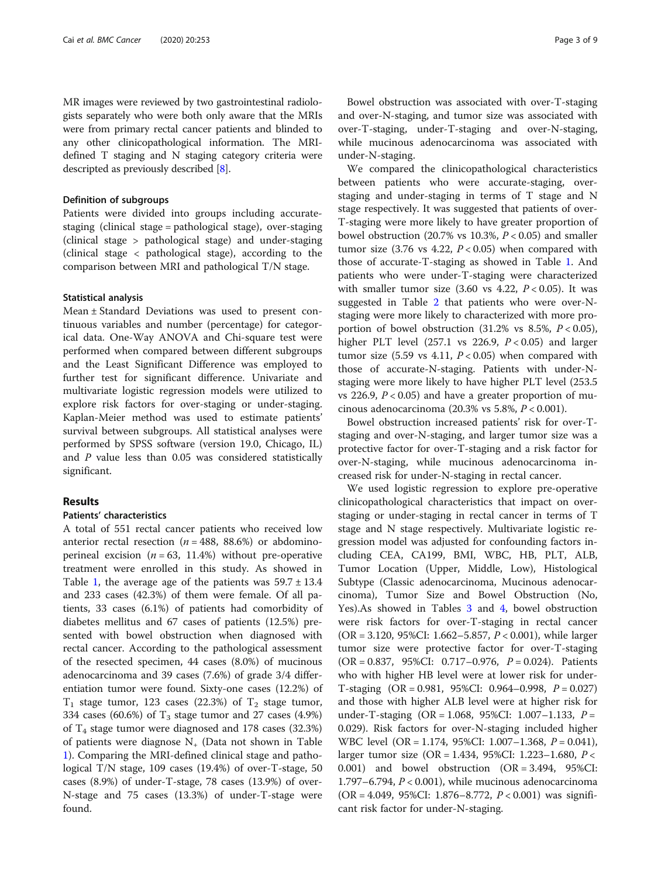MR images were reviewed by two gastrointestinal radiologists separately who were both only aware that the MRIs were from primary rectal cancer patients and blinded to any other clinicopathological information. The MRIdefined T staging and N staging category criteria were descripted as previously described [\[8\]](#page-8-0).

#### Definition of subgroups

Patients were divided into groups including accuratestaging (clinical stage = pathological stage), over-staging (clinical stage > pathological stage) and under-staging (clinical stage < pathological stage), according to the comparison between MRI and pathological T/N stage.

#### Statistical analysis

Mean ± Standard Deviations was used to present continuous variables and number (percentage) for categorical data. One-Way ANOVA and Chi-square test were performed when compared between different subgroups and the Least Significant Difference was employed to further test for significant difference. Univariate and multivariate logistic regression models were utilized to explore risk factors for over-staging or under-staging. Kaplan-Meier method was used to estimate patients' survival between subgroups. All statistical analyses were performed by SPSS software (version 19.0, Chicago, IL) and P value less than 0.05 was considered statistically significant.

# Results

#### Patients' characteristics

A total of 551 rectal cancer patients who received low anterior rectal resection ( $n = 488, 88.6%$ ) or abdominoperineal excision ( $n = 63$ , 11.4%) without pre-operative treatment were enrolled in this study. As showed in Table [1,](#page-3-0) the average age of the patients was  $59.7 \pm 13.4$ and 233 cases (42.3%) of them were female. Of all patients, 33 cases (6.1%) of patients had comorbidity of diabetes mellitus and 67 cases of patients (12.5%) presented with bowel obstruction when diagnosed with rectal cancer. According to the pathological assessment of the resected specimen, 44 cases (8.0%) of mucinous adenocarcinoma and 39 cases (7.6%) of grade 3/4 differentiation tumor were found. Sixty-one cases (12.2%) of  $T_1$  stage tumor, 123 cases (22.3%) of  $T_2$  stage tumor, 334 cases (60.6%) of  $T_3$  stage tumor and 27 cases (4.9%) of  $T_4$  stage tumor were diagnosed and 178 cases (32.3%) of patients were diagnose  $N_{+}$  (Data not shown in Table [1\)](#page-3-0). Comparing the MRI-defined clinical stage and pathological T/N stage, 109 cases (19.4%) of over-T-stage, 50 cases (8.9%) of under-T-stage, 78 cases (13.9%) of over-N-stage and 75 cases (13.3%) of under-T-stage were found.

Bowel obstruction was associated with over-T-staging and over-N-staging, and tumor size was associated with over-T-staging, under-T-staging and over-N-staging, while mucinous adenocarcinoma was associated with under-N-staging.

We compared the clinicopathological characteristics between patients who were accurate-staging, overstaging and under-staging in terms of T stage and N stage respectively. It was suggested that patients of over-T-staging were more likely to have greater proportion of bowel obstruction (20.7% vs 10.3%,  $P < 0.05$ ) and smaller tumor size (3.76 vs 4.22,  $P < 0.05$ ) when compared with those of accurate-T-staging as showed in Table [1.](#page-3-0) And patients who were under-T-staging were characterized with smaller tumor size  $(3.60 \text{ vs } 4.22, P < 0.05)$ . It was suggested in Table [2](#page-4-0) that patients who were over-Nstaging were more likely to characterized with more proportion of bowel obstruction  $(31.2\% \text{ vs } 8.5\%, P < 0.05)$ , higher PLT level  $(257.1 \text{ vs } 226.9, P < 0.05)$  and larger tumor size (5.59 vs 4.11,  $P < 0.05$ ) when compared with those of accurate-N-staging. Patients with under-Nstaging were more likely to have higher PLT level (253.5 vs 226.9,  $P < 0.05$ ) and have a greater proportion of mucinous adenocarcinoma (20.3% vs 5.8%,  $P < 0.001$ ).

Bowel obstruction increased patients' risk for over-Tstaging and over-N-staging, and larger tumor size was a protective factor for over-T-staging and a risk factor for over-N-staging, while mucinous adenocarcinoma increased risk for under-N-staging in rectal cancer.

We used logistic regression to explore pre-operative clinicopathological characteristics that impact on overstaging or under-staging in rectal cancer in terms of T stage and N stage respectively. Multivariate logistic regression model was adjusted for confounding factors including CEA, CA199, BMI, WBC, HB, PLT, ALB, Tumor Location (Upper, Middle, Low), Histological Subtype (Classic adenocarcinoma, Mucinous adenocarcinoma), Tumor Size and Bowel Obstruction (No, Yes).As showed in Tables [3](#page-5-0) and [4,](#page-5-0) bowel obstruction were risk factors for over-T-staging in rectal cancer  $(OR = 3.120, 95\% CI: 1.662 - 5.857, P < 0.001)$ , while larger tumor size were protective factor for over-T-staging  $(OR = 0.837, 95\% CI: 0.717 - 0.976, P = 0.024)$ . Patients who with higher HB level were at lower risk for under-T-staging  $(OR = 0.981, 95\% CI: 0.964 - 0.998, P = 0.027)$ and those with higher ALB level were at higher risk for under-T-staging (OR = 1.068, 95%CI: 1.007-1.133,  $P =$ 0.029). Risk factors for over-N-staging included higher WBC level (OR = 1.174, 95%CI: 1.007–1.368, P = 0.041), larger tumor size (OR = 1.434, 95%CI: 1.223–1.680, P < 0.001) and bowel obstruction (OR = 3.494, 95%CI: 1.797–6.794,  $P < 0.001$ ), while mucinous adenocarcinoma  $(OR = 4.049, 95\% CI: 1.876 - 8.772, P < 0.001)$  was significant risk factor for under-N-staging.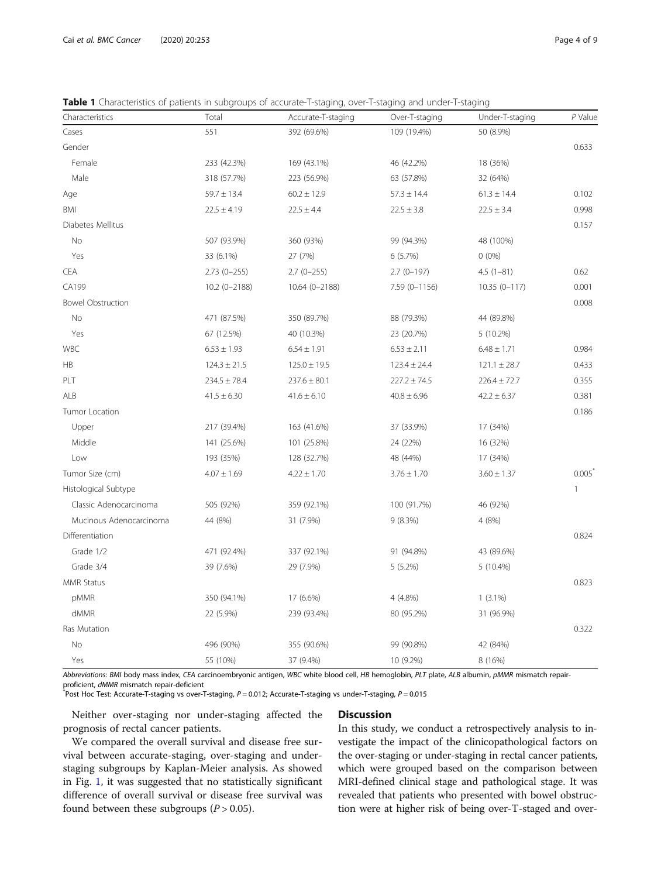<span id="page-3-0"></span>

| Characteristics   | Total         | Accurate-T-staging | Over-T-staging | Under-T-staging | $P$ Value |
|-------------------|---------------|--------------------|----------------|-----------------|-----------|
| Cases             | 551           | 392 (69.6%)        | 109 (19.4%)    | 50 (8.9%)       |           |
| Gender            |               |                    |                |                 | 0.633     |
| Female            | 233 (42.3%)   | 169 (43.1%)        | 46 (42.2%)     | 18 (36%)        |           |
| Male              | 318 (57.7%)   | 223 (56.9%)        | 63 (57.8%)     | 32 (64%)        |           |
| Age               | $59.7 + 13.4$ | $60.2 \pm 12.9$    | $57.3 + 14.4$  | $61.3 + 14.4$   | 0.102     |
| BMI               | $22.5 + 4.19$ | $22.5 + 4.4$       | $22.5 \pm 3.8$ | $22.5 + 3.4$    | 0.998     |
| Diabetes Mellitus |               |                    |                |                 | 0.157     |

Table 1 Characteristics of patients in subgroups of a

| Female                   | 233 (42.3%)       | 169 (43.1%)      | 46 (42.2%)       | 18 (36%)         |       |
|--------------------------|-------------------|------------------|------------------|------------------|-------|
| Male                     | 318 (57.7%)       | 223 (56.9%)      | 63 (57.8%)       | 32 (64%)         |       |
| Age                      | $59.7 \pm 13.4$   | $60.2 \pm 12.9$  | $57.3 \pm 14.4$  | $61.3 \pm 14.4$  | 0.102 |
| BMI                      | $22.5 \pm 4.19$   | $22.5 \pm 4.4$   | $22.5 \pm 3.8$   | $22.5 \pm 3.4$   | 0.998 |
| Diabetes Mellitus        |                   |                  |                  |                  | 0.157 |
| No                       | 507 (93.9%)       | 360 (93%)        | 99 (94.3%)       | 48 (100%)        |       |
| Yes                      | 33 (6.1%)         | 27 (7%)          | 6(5.7%)          | $0(0\%)$         |       |
| CEA                      | $2.73(0-255)$     | $2.7(0-255)$     | $2.7(0-197)$     | $4.5(1-81)$      | 0.62  |
| CA199                    | $10.2 (0 - 2188)$ | 10.64 (0-2188)   | 7.59 (0-1156)    | $10.35(0-117)$   | 0.001 |
| <b>Bowel Obstruction</b> |                   |                  |                  |                  | 0.008 |
| No                       | 471 (87.5%)       | 350 (89.7%)      | 88 (79.3%)       | 44 (89.8%)       |       |
| Yes                      | 67 (12.5%)        | 40 (10.3%)       | 23 (20.7%)       | 5 (10.2%)        |       |
| WBC                      | $6.53 \pm 1.93$   | $6.54 \pm 1.91$  | $6.53 \pm 2.11$  | $6.48 \pm 1.71$  | 0.984 |
| HB                       | $124.3 \pm 21.5$  | $125.0 \pm 19.5$ | $123.4 \pm 24.4$ | $121.1 \pm 28.7$ | 0.433 |
| PLT                      | $234.5 \pm 78.4$  | $237.6 \pm 80.1$ | $227.2 \pm 74.5$ | $226.4 \pm 72.7$ | 0.355 |
| ALB                      | $41.5 \pm 6.30$   | $41.6 \pm 6.10$  | $40.8 \pm 6.96$  | $42.2 \pm 6.37$  | 0.381 |
| Tumor Location           |                   |                  |                  |                  | 0.186 |
| Upper                    | 217 (39.4%)       | 163 (41.6%)      | 37 (33.9%)       | 17 (34%)         |       |
| Middle                   | 141 (25.6%)       | 101 (25.8%)      | 24 (22%)         | 16 (32%)         |       |
| Low                      | 193 (35%)         | 128 (32.7%)      | 48 (44%)         | 17 (34%)         |       |
| Tumor Size (cm)          | $4.07 \pm 1.69$   | $4.22 \pm 1.70$  | $3.76 \pm 1.70$  | $3.60 \pm 1.37$  | 0.005 |
| Histological Subtype     |                   |                  |                  |                  | 1     |
| Classic Adenocarcinoma   | 505 (92%)         | 359 (92.1%)      | 100 (91.7%)      | 46 (92%)         |       |
| Mucinous Adenocarcinoma  | 44 (8%)           | 31 (7.9%)        | 9(8.3%)          | 4 (8%)           |       |
| Differentiation          |                   |                  |                  |                  | 0.824 |
| Grade 1/2                | 471 (92.4%)       | 337 (92.1%)      | 91 (94.8%)       | 43 (89.6%)       |       |
| Grade 3/4                | 39 (7.6%)         | 29 (7.9%)        | $5(5.2\%)$       | 5 (10.4%)        |       |
| <b>MMR Status</b>        |                   |                  |                  |                  | 0.823 |
| pMMR                     | 350 (94.1%)       | 17 (6.6%)        | 4 (4.8%)         | $1(3.1\%)$       |       |
| dMMR                     | 22 (5.9%)         | 239 (93.4%)      | 80 (95.2%)       | 31 (96.9%)       |       |
| Ras Mutation             |                   |                  |                  |                  | 0.322 |
| $\rm No$                 | 496 (90%)         | 355 (90.6%)      | 99 (90.8%)       | 42 (84%)         |       |
| Yes                      | 55 (10%)          | 37 (9.4%)        | 10 (9.2%)        | 8 (16%)          |       |

Abbreviations: BMI body mass index, CEA carcinoembryonic antigen, WBC white blood cell, HB hemoglobin, PLT plate, ALB albumin, pMMR mismatch repairproficient, dMMR mismatch repair-deficient

 $^{\ast}$ Post Hoc Test: Accurate-T-staging vs over-T-staging,  $P$  = 0.012; Accurate-T-staging vs under-T-staging,  $P$  = 0.015

Neither over-staging nor under-staging affected the prognosis of rectal cancer patients.

# **Discussion**

We compared the overall survival and disease free survival between accurate-staging, over-staging and understaging subgroups by Kaplan-Meier analysis. As showed in Fig. [1,](#page-6-0) it was suggested that no statistically significant difference of overall survival or disease free survival was found between these subgroups ( $P > 0.05$ ).

In this study, we conduct a retrospectively analysis to investigate the impact of the clinicopathological factors on the over-staging or under-staging in rectal cancer patients, which were grouped based on the comparison between MRI-defined clinical stage and pathological stage. It was revealed that patients who presented with bowel obstruction were at higher risk of being over-T-staged and over-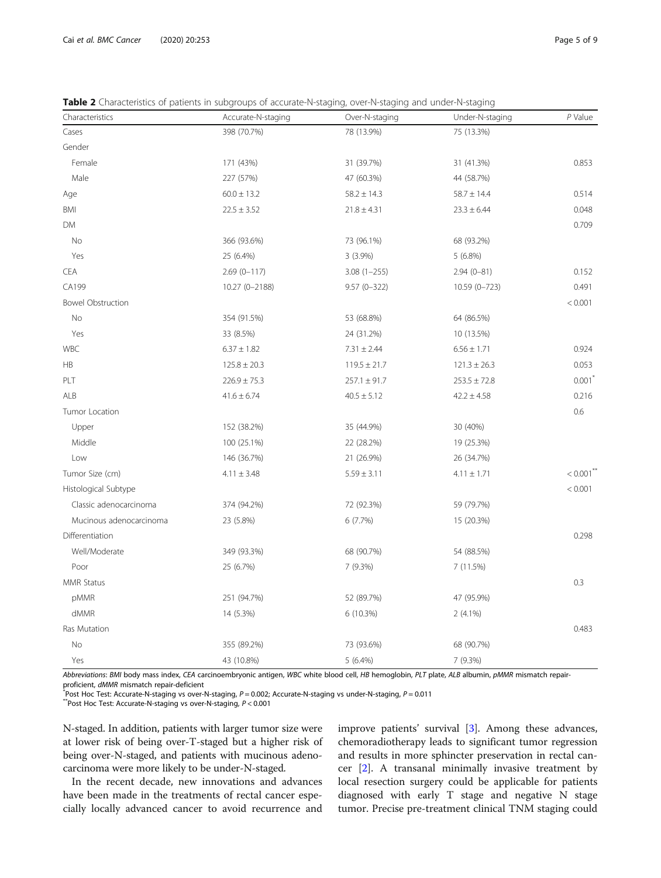<span id="page-4-0"></span>Table 2 Characteristics of patients in subgroups of accurate-N-staging, over-N-staging and under-N-staging

| Characteristics          | Accurate-N-staging | Over-N-staging   | Under-N-staging  | $P$ Value               |
|--------------------------|--------------------|------------------|------------------|-------------------------|
| Cases                    | 398 (70.7%)        | 78 (13.9%)       | 75 (13.3%)       |                         |
| Gender                   |                    |                  |                  |                         |
| Female                   | 171 (43%)          | 31 (39.7%)       | 31 (41.3%)       | 0.853                   |
| Male                     | 227 (57%)          | 47 (60.3%)       | 44 (58.7%)       |                         |
| Age                      | $60.0 \pm 13.2$    | $58.2 \pm 14.3$  | $58.7 \pm 14.4$  | 0.514                   |
| BMI                      | $22.5 \pm 3.52$    | $21.8 \pm 4.31$  | $23.3 \pm 6.44$  | 0.048                   |
| DM                       |                    |                  |                  | 0.709                   |
| No                       | 366 (93.6%)        | 73 (96.1%)       | 68 (93.2%)       |                         |
| Yes                      | 25 (6.4%)          | $3(3.9\%)$       | $5(6.8\%)$       |                         |
| CEA                      | $2.69(0 - 117)$    | $3.08(1 - 255)$  | $2.94(0 - 81)$   | 0.152                   |
| CA199                    | 10.27 (0-2188)     | $9.57(0-322)$    | 10.59 (0-723)    | 0.491                   |
| <b>Bowel Obstruction</b> |                    |                  |                  | < 0.001                 |
| No                       | 354 (91.5%)        | 53 (68.8%)       | 64 (86.5%)       |                         |
| Yes                      | 33 (8.5%)          | 24 (31.2%)       | 10 (13.5%)       |                         |
| <b>WBC</b>               | $6.37 \pm 1.82$    | $7.31 \pm 2.44$  | $6.56 \pm 1.71$  | 0.924                   |
| HB                       | $125.8 \pm 20.3$   | $119.5 \pm 21.7$ | $121.3 \pm 26.3$ | 0.053                   |
| PLT                      | $226.9 \pm 75.3$   | $257.1 \pm 91.7$ | $253.5 \pm 72.8$ | 0.001                   |
| ALB                      | $41.6 \pm 6.74$    | $40.5 \pm 5.12$  | $42.2 \pm 4.58$  | 0.216                   |
| Tumor Location           |                    |                  |                  | 0.6                     |
| Upper                    | 152 (38.2%)        | 35 (44.9%)       | 30 (40%)         |                         |
| Middle                   | 100 (25.1%)        | 22 (28.2%)       | 19 (25.3%)       |                         |
| Low                      | 146 (36.7%)        | 21 (26.9%)       | 26 (34.7%)       |                         |
| Tumor Size (cm)          | $4.11 \pm 3.48$    | $5.59 \pm 3.11$  | $4.11 \pm 1.71$  | $< 0.001$ <sup>**</sup> |
| Histological Subtype     |                    |                  |                  | < 0.001                 |
| Classic adenocarcinoma   | 374 (94.2%)        | 72 (92.3%)       | 59 (79.7%)       |                         |
| Mucinous adenocarcinoma  | 23 (5.8%)          | 6(7.7%)          | 15 (20.3%)       |                         |
| Differentiation          |                    |                  |                  | 0.298                   |
| Well/Moderate            | 349 (93.3%)        | 68 (90.7%)       | 54 (88.5%)       |                         |
| Poor                     | 25 (6.7%)          | 7(9.3%)          | 7 (11.5%)        |                         |
| <b>MMR Status</b>        |                    |                  |                  | 0.3                     |
| pMMR                     | 251 (94.7%)        | 52 (89.7%)       | 47 (95.9%)       |                         |
| dMMR                     | 14 (5.3%)          | 6 (10.3%)        | $2(4.1\%)$       |                         |
| Ras Mutation             |                    |                  |                  | 0.483                   |
| No                       | 355 (89.2%)        | 73 (93.6%)       | 68 (90.7%)       |                         |
| Yes                      | 43 (10.8%)         | $5(6.4\%)$       | 7 (9.3%)         |                         |

Abbreviations: BMI body mass index, CEA carcinoembryonic antigen, WBC white blood cell, HB hemoglobin, PLT plate, ALB albumin, pMMR mismatch repairproficient, dMMR mismatch repair-deficient \*

<sup>\*</sup>Post Hoc Test: Accurate-N-staging vs over-N-staging,  $P = 0.002$ ; Accurate-N-staging vs under-N-staging,  $P = 0.011$ <br>\*\*Post Hoc Test: Accurate-N-staging vs over-N-staging, P < 0.001

N-staged. In addition, patients with larger tumor size were at lower risk of being over-T-staged but a higher risk of being over-N-staged, and patients with mucinous adenocarcinoma were more likely to be under-N-staged.

In the recent decade, new innovations and advances have been made in the treatments of rectal cancer especially locally advanced cancer to avoid recurrence and improve patients' survival [[3](#page-8-0)]. Among these advances, chemoradiotherapy leads to significant tumor regression and results in more sphincter preservation in rectal cancer [\[2](#page-8-0)]. A transanal minimally invasive treatment by local resection surgery could be applicable for patients diagnosed with early T stage and negative N stage tumor. Precise pre-treatment clinical TNM staging could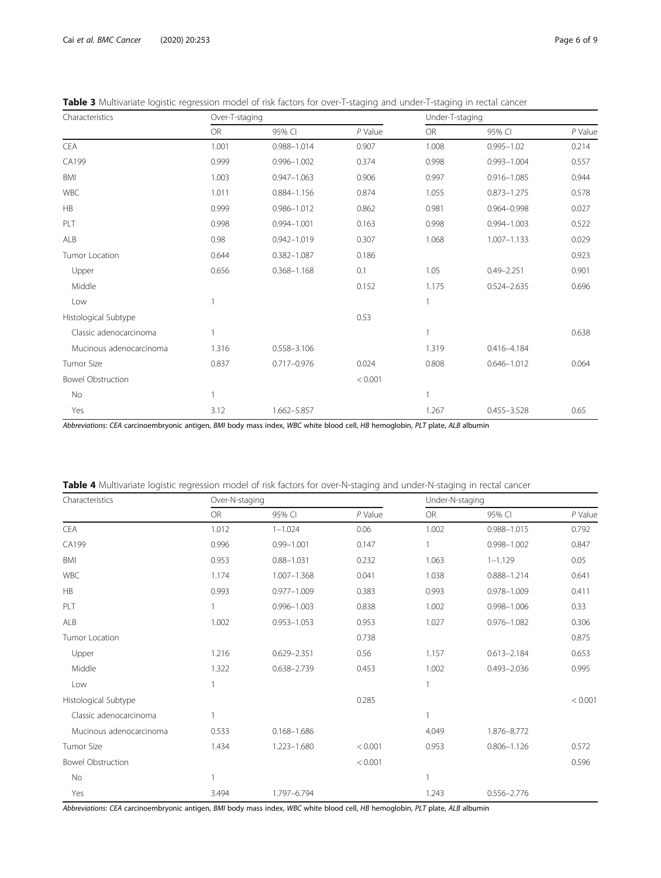| Characteristics          | Over-T-staging |                 |           | Under-T-staging |                 |           |
|--------------------------|----------------|-----------------|-----------|-----------------|-----------------|-----------|
|                          | OR             | 95% CI          | $P$ Value | <b>OR</b>       | 95% CI          | $P$ Value |
| <b>CEA</b>               | 1.001          | 0.988-1.014     | 0.907     | 1.008           | $0.995 - 1.02$  | 0.214     |
| CA199                    | 0.999          | $0.996 - 1.002$ | 0.374     | 0.998           | $0.993 - 1.004$ | 0.557     |
| BMI                      | 1.003          | $0.947 - 1.063$ | 0.906     | 0.997           | $0.916 - 1.085$ | 0.944     |
| <b>WBC</b>               | 1.011          | $0.884 - 1.156$ | 0.874     | 1.055           | $0.873 - 1.275$ | 0.578     |
| HB                       | 0.999          | $0.986 - 1.012$ | 0.862     | 0.981           | $0.964 - 0.998$ | 0.027     |
| PLT                      | 0.998          | $0.994 - 1.001$ | 0.163     | 0.998           | $0.994 - 1.003$ | 0.522     |
| ALB                      | 0.98           | $0.942 - 1.019$ | 0.307     | 1.068           | $1.007 - 1.133$ | 0.029     |
| Tumor Location           | 0.644          | $0.382 - 1.087$ | 0.186     |                 |                 | 0.923     |
| Upper                    | 0.656          | $0.368 - 1.168$ | 0.1       | 1.05            | $0.49 - 2.251$  | 0.901     |
| Middle                   |                |                 | 0.152     | 1.175           | $0.524 - 2.635$ | 0.696     |
| Low                      |                |                 |           |                 |                 |           |
| Histological Subtype     |                |                 | 0.53      |                 |                 |           |
| Classic adenocarcinoma   |                |                 |           |                 |                 | 0.638     |
| Mucinous adenocarcinoma  | 1.316          | 0.558-3.106     |           | 1.319           | $0.416 - 4.184$ |           |
| Tumor Size               | 0.837          | $0.717 - 0.976$ | 0.024     | 0.808           | $0.646 - 1.012$ | 0.064     |
| <b>Bowel Obstruction</b> |                |                 | < 0.001   |                 |                 |           |
| No                       |                |                 |           |                 |                 |           |
| Yes                      | 3.12           | 1.662-5.857     |           | 1.267           | $0.455 - 3.528$ | 0.65      |

<span id="page-5-0"></span>Table 3 Multivariate logistic regression model of risk factors for over-T-staging and under-T-staging in rectal cancer

Abbreviations: CEA carcinoembryonic antigen, BMI body mass index, WBC white blood cell, HB hemoglobin, PLT plate, ALB albumin

| Table 4 Multivariate logistic regression model of risk factors for over-N-staging and under-N-staging in rectal cancer |  |
|------------------------------------------------------------------------------------------------------------------------|--|
|------------------------------------------------------------------------------------------------------------------------|--|

| Characteristics          | Over-N-staging |                 |           | Under-N-staging |                 |           |
|--------------------------|----------------|-----------------|-----------|-----------------|-----------------|-----------|
|                          | <b>OR</b>      | 95% CI          | $P$ Value | <b>OR</b>       | 95% CI          | $P$ Value |
| <b>CEA</b>               | 1.012          | $1 - 1.024$     | 0.06      | 1.002           | $0.988 - 1.015$ | 0.792     |
| CA199                    | 0.996          | $0.99 - 1.001$  | 0.147     |                 | $0.998 - 1.002$ | 0.847     |
| <b>BMI</b>               | 0.953          | $0.88 - 1.031$  | 0.232     | 1.063           | $1 - 1.129$     | 0.05      |
| <b>WBC</b>               | 1.174          | $1.007 - 1.368$ | 0.041     | 1.038           | $0.888 - 1.214$ | 0.641     |
| HB                       | 0.993          | $0.977 - 1.009$ | 0.383     | 0.993           | $0.978 - 1.009$ | 0.411     |
| PLT                      |                | $0.996 - 1.003$ | 0.838     | 1.002           | 0.998-1.006     | 0.33      |
| ALB                      | 1.002          | $0.953 - 1.053$ | 0.953     | 1.027           | $0.976 - 1.082$ | 0.306     |
| Tumor Location           |                |                 | 0.738     |                 |                 | 0.875     |
| Upper                    | 1.216          | $0.629 - 2.351$ | 0.56      | 1.157           | $0.613 - 2.184$ | 0.653     |
| Middle                   | 1.322          | 0.638-2.739     | 0.453     | 1.002           | $0.493 - 2.036$ | 0.995     |
| Low                      |                |                 |           | $\mathbf{1}$    |                 |           |
| Histological Subtype     |                |                 | 0.285     |                 |                 | < 0.001   |
| Classic adenocarcinoma   |                |                 |           | $\mathbf{1}$    |                 |           |
| Mucinous adenocarcinoma  | 0.533          | $0.168 - 1.686$ |           | 4.049           | 1.876-8.772     |           |
| Tumor Size               | 1.434          | 1.223-1.680     | < 0.001   | 0.953           | $0.806 - 1.126$ | 0.572     |
| <b>Bowel Obstruction</b> |                |                 | < 0.001   |                 |                 | 0.596     |
| <b>No</b>                |                |                 |           |                 |                 |           |
| Yes                      | 3.494          | 1.797-6.794     |           | 1.243           | 0.556-2.776     |           |

Abbreviations: CEA carcinoembryonic antigen, BMI body mass index, WBC white blood cell, HB hemoglobin, PLT plate, ALB albumin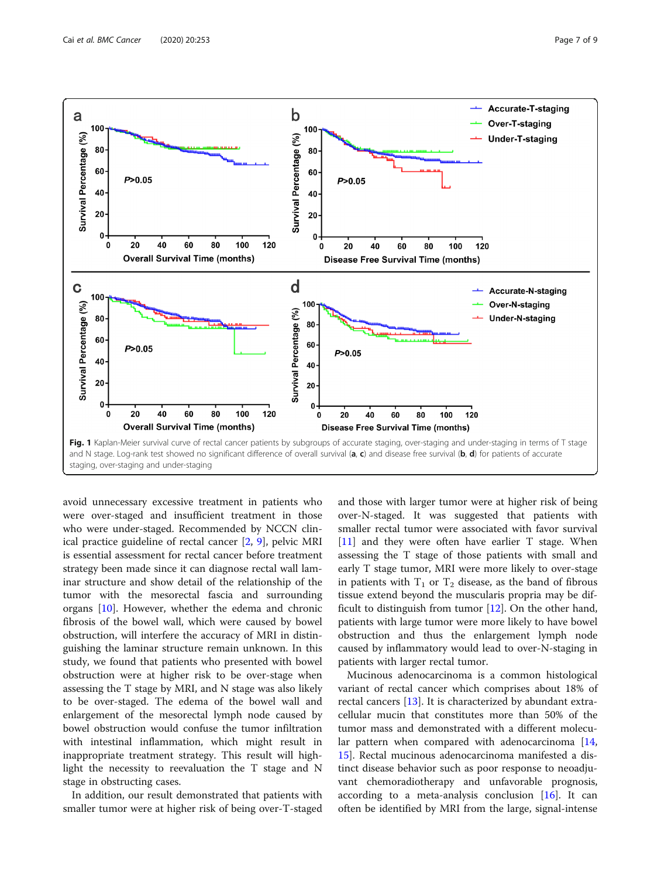<span id="page-6-0"></span>

avoid unnecessary excessive treatment in patients who were over-staged and insufficient treatment in those who were under-staged. Recommended by NCCN clinical practice guideline of rectal cancer [[2,](#page-8-0) [9](#page-8-0)], pelvic MRI is essential assessment for rectal cancer before treatment strategy been made since it can diagnose rectal wall laminar structure and show detail of the relationship of the tumor with the mesorectal fascia and surrounding organs [\[10](#page-8-0)]. However, whether the edema and chronic fibrosis of the bowel wall, which were caused by bowel obstruction, will interfere the accuracy of MRI in distinguishing the laminar structure remain unknown. In this study, we found that patients who presented with bowel obstruction were at higher risk to be over-stage when assessing the T stage by MRI, and N stage was also likely to be over-staged. The edema of the bowel wall and enlargement of the mesorectal lymph node caused by bowel obstruction would confuse the tumor infiltration with intestinal inflammation, which might result in inappropriate treatment strategy. This result will highlight the necessity to reevaluation the T stage and N stage in obstructing cases.

In addition, our result demonstrated that patients with smaller tumor were at higher risk of being over-T-staged and those with larger tumor were at higher risk of being over-N-staged. It was suggested that patients with smaller rectal tumor were associated with favor survival [[11\]](#page-8-0) and they were often have earlier T stage. When assessing the T stage of those patients with small and early T stage tumor, MRI were more likely to over-stage in patients with  $T_1$  or  $T_2$  disease, as the band of fibrous tissue extend beyond the muscularis propria may be difficult to distinguish from tumor  $[12]$  $[12]$ . On the other hand, patients with large tumor were more likely to have bowel obstruction and thus the enlargement lymph node caused by inflammatory would lead to over-N-staging in patients with larger rectal tumor.

Mucinous adenocarcinoma is a common histological variant of rectal cancer which comprises about 18% of rectal cancers [[13\]](#page-8-0). It is characterized by abundant extracellular mucin that constitutes more than 50% of the tumor mass and demonstrated with a different molecu-lar pattern when compared with adenocarcinoma [[14](#page-8-0), [15\]](#page-8-0). Rectal mucinous adenocarcinoma manifested a distinct disease behavior such as poor response to neoadjuvant chemoradiotherapy and unfavorable prognosis, according to a meta-analysis conclusion  $[16]$  $[16]$ . It can often be identified by MRI from the large, signal-intense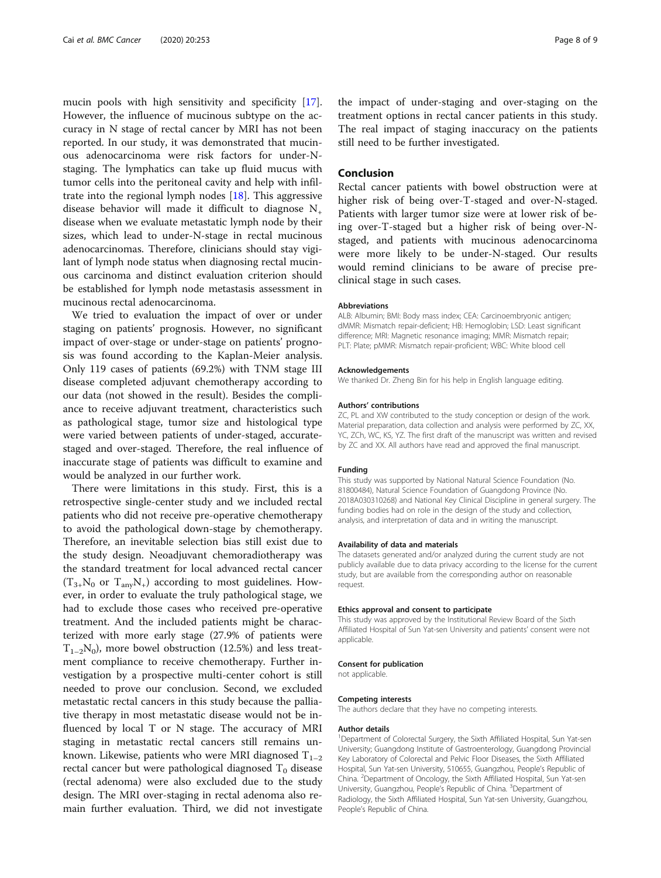mucin pools with high sensitivity and specificity [\[17](#page-8-0)]. However, the influence of mucinous subtype on the accuracy in N stage of rectal cancer by MRI has not been reported. In our study, it was demonstrated that mucinous adenocarcinoma were risk factors for under-Nstaging. The lymphatics can take up fluid mucus with tumor cells into the peritoneal cavity and help with infiltrate into the regional lymph nodes [[18\]](#page-8-0). This aggressive disease behavior will made it difficult to diagnose  $N_{+}$ disease when we evaluate metastatic lymph node by their sizes, which lead to under-N-stage in rectal mucinous adenocarcinomas. Therefore, clinicians should stay vigilant of lymph node status when diagnosing rectal mucinous carcinoma and distinct evaluation criterion should be established for lymph node metastasis assessment in mucinous rectal adenocarcinoma.

We tried to evaluation the impact of over or under staging on patients' prognosis. However, no significant impact of over-stage or under-stage on patients' prognosis was found according to the Kaplan-Meier analysis. Only 119 cases of patients (69.2%) with TNM stage III disease completed adjuvant chemotherapy according to our data (not showed in the result). Besides the compliance to receive adjuvant treatment, characteristics such as pathological stage, tumor size and histological type were varied between patients of under-staged, accuratestaged and over-staged. Therefore, the real influence of inaccurate stage of patients was difficult to examine and would be analyzed in our further work.

There were limitations in this study. First, this is a retrospective single-center study and we included rectal patients who did not receive pre-operative chemotherapy to avoid the pathological down-stage by chemotherapy. Therefore, an inevitable selection bias still exist due to the study design. Neoadjuvant chemoradiotherapy was the standard treatment for local advanced rectal cancer  $(T_{3+}N_0$  or  $T_{\text{anv}}N_+)$  according to most guidelines. However, in order to evaluate the truly pathological stage, we had to exclude those cases who received pre-operative treatment. And the included patients might be characterized with more early stage (27.9% of patients were  $T_{1-2}N_0$ , more bowel obstruction (12.5%) and less treatment compliance to receive chemotherapy. Further investigation by a prospective multi-center cohort is still needed to prove our conclusion. Second, we excluded metastatic rectal cancers in this study because the palliative therapy in most metastatic disease would not be influenced by local T or N stage. The accuracy of MRI staging in metastatic rectal cancers still remains unknown. Likewise, patients who were MRI diagnosed  $T_{1-2}$ rectal cancer but were pathological diagnosed  $T_0$  disease (rectal adenoma) were also excluded due to the study design. The MRI over-staging in rectal adenoma also remain further evaluation. Third, we did not investigate the impact of under-staging and over-staging on the treatment options in rectal cancer patients in this study. The real impact of staging inaccuracy on the patients still need to be further investigated.

## Conclusion

Rectal cancer patients with bowel obstruction were at higher risk of being over-T-staged and over-N-staged. Patients with larger tumor size were at lower risk of being over-T-staged but a higher risk of being over-Nstaged, and patients with mucinous adenocarcinoma were more likely to be under-N-staged. Our results would remind clinicians to be aware of precise preclinical stage in such cases.

#### Abbreviations

ALB: Albumin; BMI: Body mass index; CEA: Carcinoembryonic antigen; dMMR: Mismatch repair-deficient; HB: Hemoglobin; LSD: Least significant difference; MRI: Magnetic resonance imaging; MMR: Mismatch repair; PLT: Plate; pMMR: Mismatch repair-proficient; WBC: White blood cell

#### Acknowledgements

We thanked Dr. Zheng Bin for his help in English language editing.

#### Authors' contributions

ZC, PL and XW contributed to the study conception or design of the work. Material preparation, data collection and analysis were performed by ZC, XX, YC, ZCh, WC, KS, YZ. The first draft of the manuscript was written and revised by ZC and XX. All authors have read and approved the final manuscript.

#### Funding

This study was supported by National Natural Science Foundation (No. 81800484), Natural Science Foundation of Guangdong Province (No. 2018A030310268) and National Key Clinical Discipline in general surgery. The funding bodies had on role in the design of the study and collection, analysis, and interpretation of data and in writing the manuscript.

#### Availability of data and materials

The datasets generated and/or analyzed during the current study are not publicly available due to data privacy according to the license for the current study, but are available from the corresponding author on reasonable request.

#### Ethics approval and consent to participate

This study was approved by the Institutional Review Board of the Sixth Affiliated Hospital of Sun Yat-sen University and patients' consent were not applicable.

#### Consent for publication

not applicable.

#### Competing interests

The authors declare that they have no competing interests.

#### Author details

<sup>1</sup>Department of Colorectal Surgery, the Sixth Affiliated Hospital, Sun Yat-sen University; Guangdong Institute of Gastroenterology, Guangdong Provincial Key Laboratory of Colorectal and Pelvic Floor Diseases, the Sixth Affiliated Hospital, Sun Yat-sen University, 510655, Guangzhou, People's Republic of China. <sup>2</sup> Department of Oncology, the Sixth Affiliated Hospital, Sun Yat-sen University, Guangzhou, People's Republic of China. <sup>3</sup>Department of Radiology, the Sixth Affiliated Hospital, Sun Yat-sen University, Guangzhou, People's Republic of China.